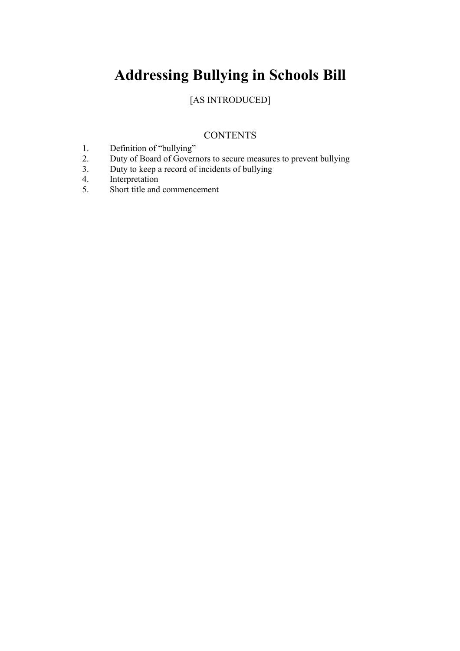# **Addressing Bullying in Schools Bill**

## [AS INTRODUCED]

### **CONTENTS**

- 1. Definition of "bullying"<br>2. Duty of Board of Govern
- 2. Duty of Board of Governors to secure measures to prevent bullying<br>3. Duty to keep a record of incidents of bullying
- Duty to keep a record of incidents of bullying
- 4. Interpretation
- 5. Short title and commencement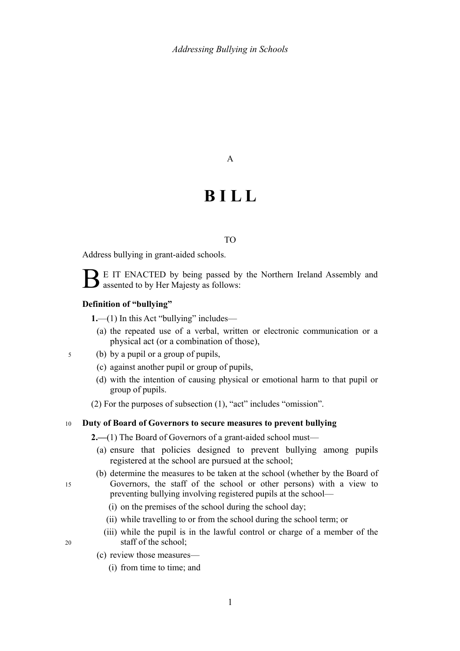#### A

# **B I L L**

#### TO

Address bullying in grant-aided schools.

E IT ENACTED by being passed by the Northern Ireland Assembly and assented to by Her Majesty as follows:

#### **Definition of "bullying"**

<span id="page-2-0"></span>**1.**—(1) In this Act "bullying" includes—

- (a) the repeated use of a verbal, written or electronic communication or a physical act (or a combination of those),
- (b) by a pupil or a group of pupils, 5
	- (c) against another pupil or group of pupils,
	- (d) with the intention of causing physical or emotional harm to that pupil or group of pupils.
	- (2) For the purposes of subsection [\(1\),](#page-2-0) "act" includes "omission".

#### **Duty of Board of Governors to secure measures to prevent bullying**  10

**2.**—(1) The Board of Governors of a grant-aided school must—

- (a) ensure that policies designed to prevent bullying among pupils registered at the school are pursued at the school;
- (b) determine the measures to be taken at the school (whether by the Board of Governors, the staff of the school or other persons) with a view to preventing bullying involving registered pupils at the school—
	- (i) on the premises of the school during the school day;
	- (ii) while travelling to or from the school during the school term; or
	- (iii) while the pupil is in the lawful control or charge of a member of the staff of the school;

20

15

- <span id="page-2-2"></span><span id="page-2-1"></span>(c) review those measures—
	- (i) from time to time; and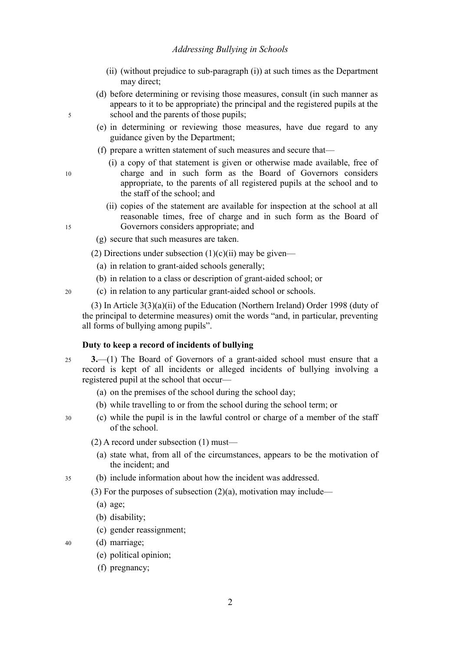- <span id="page-3-3"></span>(ii) (without prejudice to sub-paragraph [\(i\)\)](#page-2-2) at such times as the Department may direct;
- (d) before determining or revising those measures, consult (in such manner as appears to it to be appropriate) the principal and the registered pupils at the school and the parents of those pupils;
- (e) in determining or reviewing those measures, have due regard to any guidance given by the Department;
- (f) prepare a written statement of such measures and secure that—
	- (i) a copy of that statement is given or otherwise made available, free of charge and in such form as the Board of Governors considers appropriate, to the parents of all registered pupils at the school and to the staff of the school; and
	- (ii) copies of the statement are available for inspection at the school at all reasonable times, free of charge and in such form as the Board of Governors considers appropriate; and
- (g) secure that such measures are taken.
- (2) Directions under subsection  $(1)(c)(ii)$  $(1)(c)(ii)$  $(1)(c)(ii)$  may be given—
	- (a) in relation to grant-aided schools generally;
	- (b) in relation to a class or description of grant-aided school; or
- (c) in relation to any particular grant-aided school or schools.  $20$

(3) In Article 3(3)(a)(ii) of the Education (Northern Ireland) Order 1998 (duty of the principal to determine measures) omit the words "and, in particular, preventing all forms of bullying among pupils".

#### <span id="page-3-2"></span>**Duty to keep a record of incidents of bullying**

- **3.**—(1) The Board of Governors of a grant-aided school must ensure that a record is kept of all incidents or alleged incidents of bullying involving a registered pupil at the school that occur— 25
	- (a) on the premises of the school during the school day;
	- (b) while travelling to or from the school during the school term; or
- <span id="page-3-1"></span>(c) while the pupil is in the lawful control or charge of a member of the staff of the school. 30
	- (2) A record under subsection [\(1\)](#page-3-2) must—
		- (a) state what, from all of the circumstances, appears to be the motivation of the incident; and
- (b) include information about how the incident was addressed. 35

<span id="page-3-4"></span><span id="page-3-0"></span>(3) For the purposes of subsection  $(2)(a)$ , motivation may include—

- (a) age;
- (b) disability;
- (c) gender reassignment;
- (d) marriage; 40
	- (e) political opinion;
	- (f) pregnancy;

15

5